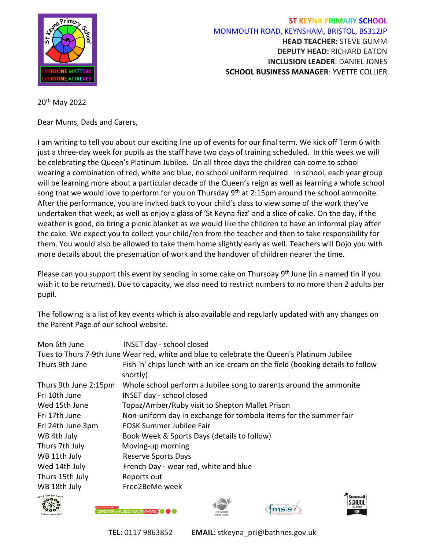

## **ST KEYNA PRIMARY SCHOOL** MONMOUTH ROAD, KEYNSHAM, BRISTOL, BS312JP **HEAD TEACHER:** STEVE GUMM **DEPUTY HEAD:** RICHARD EATON **INCLUSION LEADER**: DANIEL JONES **SCHOOL BUSINESS MANAGER**: YVETTE COLLIER

## 20th May 2022

Dear Mums, Dads and Carers,

I am writing to tell you about our exciting line up of events for our final term. We kick off Term 6 with just a three-day week for pupils as the staff have two days of training scheduled. In this week we will be celebrating the Queen's Platinum Jubilee. On all three days the children can come to school wearing a combination of red, white and blue, no school uniform required. In school, each year group will be learning more about a particular decade of the Queen's reign as well as learning a whole school song that we would love to perform for you on Thursday  $9<sup>th</sup>$  at 2:15pm around the school ammonite. After the performance, you are invited back to your child's class to view some of the work they've undertaken that week, as well as enjoy a glass of 'St Keyna fizz' and a slice of cake. On the day, if the weather is good, do bring a picnic blanket as we would like the children to have an informal play after the cake. We expect you to collect your child/ren from the teacher and then to take responsibility for them. You would also be allowed to take them home slightly early as well. Teachers will Dojo you with more details about the presentation of work and the handover of children nearer the time.

Please can you support this event by sending in some cake on Thursday 9<sup>th</sup> June (in a named tin if you wish it to be returned). Due to capacity, we also need to restrict numbers to no more than 2 adults per pupil.

The following is a list of key events which is also available and regularly updated with any changes on the Parent Page of our school website.

| Mon 6th June                                   | <b>INSET day - school closed</b>                                                            |
|------------------------------------------------|---------------------------------------------------------------------------------------------|
|                                                | Tues to Thurs 7-9th June Wear red, white and blue to celebrate the Queen's Platinum Jubilee |
| Thurs 9th June                                 | Fish 'n' chips lunch with an ice-cream on the field (booking details to follow<br>shortly)  |
| Thurs 9th June 2:15pm                          | Whole school perform a Jubilee song to parents around the ammonite                          |
| Fri 10th June                                  | <b>INSET day - school closed</b>                                                            |
| Wed 15th June                                  | Topaz/Amber/Ruby visit to Shepton Mallet Prison                                             |
| Fri 17th June                                  | Non-uniform day in exchange for tombola items for the summer fair                           |
| Fri 24th June 3pm                              | <b>FOSK Summer Jubilee Fair</b>                                                             |
| WB 4th July                                    | Book Week & Sports Days (details to follow)                                                 |
| Thurs 7th July                                 | Moving-up morning                                                                           |
| WB 11th July                                   | <b>Reserve Sports Days</b>                                                                  |
| Wed 14th July                                  | French Day - wear red, white and blue                                                       |
| Thurs 15th July                                | Reports out                                                                                 |
| WB 18th July                                   | Free2BeMe week                                                                              |
| <sub>noth</sub> & North East Some <sub>n</sub> | $C_{\text{tunnel}}$                                                                         |